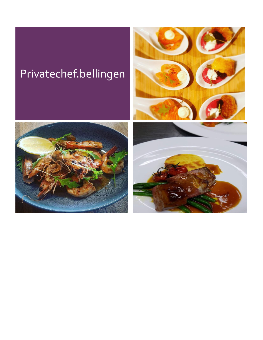# Privatechef.bellingen





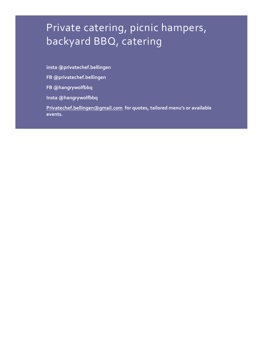## Private catering, picnic hampers, backyard BBQ, catering

**insta @privatechef.bellingen**

**FB @privatechef.bellingen**

**FB @hangrywolfbbq**

**Insta @hangrywolfbbq**

**[Privatechef.bellingen@gmail.com](mailto:Privatechef.bellingen@gmail.com) for quotes, tailored menu's or available events.**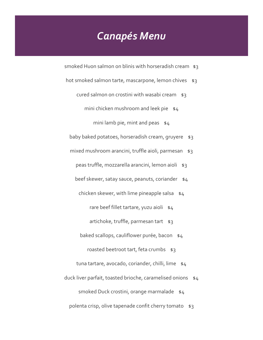## *Canapés Menu*

- smoked Huon salmon on blinis with horseradish cream  $$3$
- hot smoked salmon tarte, mascarpone, lemon chives  $$3$ 
	- cured salmon on crostini with wasabi cream \$3
		- mini chicken mushroom and leek pie  $$4$ 
			- mini lamb pie, mint and peas  $$4$
	- baby baked potatoes, horseradish cream, gruyere  $$3$
	- mixed mushroom arancini, truffle aioli, parmesan  $$3$ 
		- peas truffle, mozzarella arancini, lemon aioli \$3
		- beef skewer, satay sauce, peanuts, coriander \$4
		- chicken skewer, with lime pineapple salsa  $$4$ 
			- rare beef fillet tartare, yuzu aioli \$4
			- artichoke, truffle, parmesan tart \$3
		- baked scallops, cauliflower purée, bacon \$4
			- roasted beetroot tart, feta crumbs  $$3$
	- tuna tartare, avocado, coriander, chilli, lime  $$4$
- duck liver parfait, toasted brioche, caramelised onions  $$4$ 
	- smoked Duck crostini, orange marmalade \$4
	- polenta crisp, olive tapenade confit cherry tomato  $$3$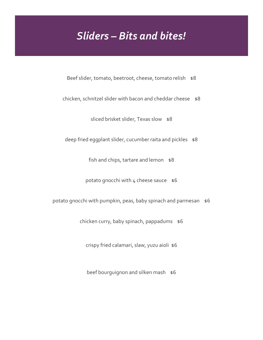## *Sliders – Bits and bites!*

Beef slider, tomato, beetroot, cheese, tomato relish \$8

chicken, schnitzel slider with bacon and cheddar cheese  $$8$ 

sliced brisket slider, Texas slow \$8

deep fried eggplant slider, cucumber raita and pickles \$8

fish and chips, tartare and lemon \$8

potato gnocchi with  $4$  cheese sauce  $$6$ 

potato gnocchi with pumpkin, peas, baby spinach and parmesan \$6

chicken curry, baby spinach, pappadums \$6

crispy fried calamari, slaw, yuzu aioli \$6

beef bourguignon and silken mash \$6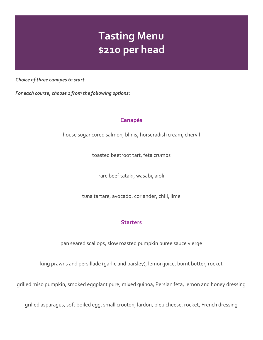## **Tasting Menu \$210 per head**

*Choice of three canapes to start*

*For each course, choose 1 from the following options:*

### **Canapés**

house sugar cured salmon, blinis, horseradish cream, chervil

toasted beetroot tart, feta crumbs

rare beef tataki, wasabi, aioli

tuna tartare, avocado, coriander, chili, lime

### **Starters**

pan seared scallops, slow roasted pumpkin puree sauce vierge

king prawns and persillade (garlic and parsley), lemon juice, burnt butter, rocket

grilled miso pumpkin, smoked eggplant pure, mixed quinoa, Persian feta, lemon and honey dressing

grilled asparagus, soft boiled egg, small crouton, lardon, bleu cheese, rocket, French dressing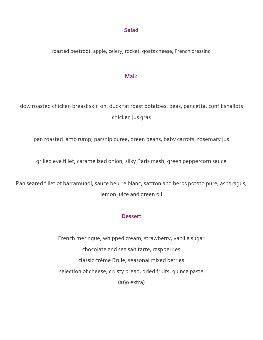#### **Salad**

roasted beetroot, apple, celery, rocket, goats cheese, French dressing

#### **Main**

slow roasted chicken breast skin on, duck fat roast potatoes, peas, pancetta, confit shallots chicken jus gras

pan roasted lamb rump, parsnip puree, green beans, baby carrots, rosemary jus

grilled eye fillet, caramelized onion, silky Paris mash, green peppercorn sauce

Pan seared fillet of barramundi, sauce beurre blanc, saffron and herbs potato pure, asparagus, lemon juice and green oil

#### **Dessert**

French meringue, whipped cream, strawberry, vanilla sugar chocolate and sea salt tarte, raspberries classic crème Brule, seasonal mixed berries selection of cheese, crusty bread, dried fruits, quince paste (\$60 extra)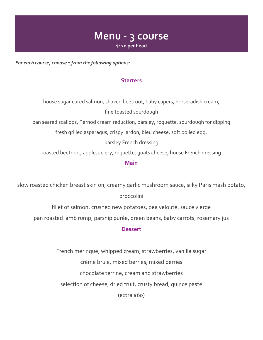### **Menu - 3 course \$120 per head**

*For each course, choose 1 from the following options:*

#### **Starters**

house sugar cured salmon, shaved beetroot, baby capers, horseradish cream, fine toasted sourdough pan seared scallops, Pernod cream reduction, parsley, roquette, sourdough for dipping fresh grilled asparagus, crispy lardon, bleu cheese, soft boiled egg, parsley French dressing roasted beetroot, apple, celery, roquette, goats cheese, house French dressing **Main**

slow roasted chicken breast skin on, creamy garlic mushroom sauce, silky Paris mash potato, broccolini

fillet of salmon, crushed new potatoes, pea velouté, sauce vierge

pan roasted lamb rump, parsnip purée, green beans, baby carrots, rosemary jus

#### **Dessert**

French meringue, whipped cream, strawberries, vanilla sugar crème brule, mixed berries, mixed berries chocolate terrine, cream and strawberries selection of cheese, dried fruit, crusty bread, quince paste  $(extra $60)$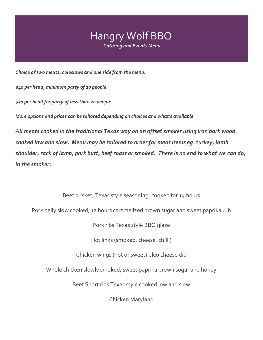

*Choice of two meats, coleslaws and one side from the menu.*

*\$40 per head, minimum party of 20 people*

*\$50 per head for party of less than 20 people.*

*More options and prices can be tailored depending on choices and what's available* 

*All meats cooked in the traditional Texas way on an offset smoker using iron bark wood cooked low and slow. Menu may be tailored to order for meat items eg. turkey, lamb shoulder, rack of lamb, pork butt, beef roast or smoked. There is no end to what we can do, in the smoker:*

Beef brisket, Texas style seasoning, cooked for 14 hours

Pork belly slow cooked, 12 hours caramelized brown sugar and sweet paprika rub

Pork ribs Texas style BBQ glaze

Hot links (smoked, cheese, chilli)

Chicken wings (hot or sweet) bleu cheese dip

Whole chicken slowly smoked, sweet paprika brown sugar and honey

Beef Short ribs Texas style cooked low and slow

Chicken Maryland